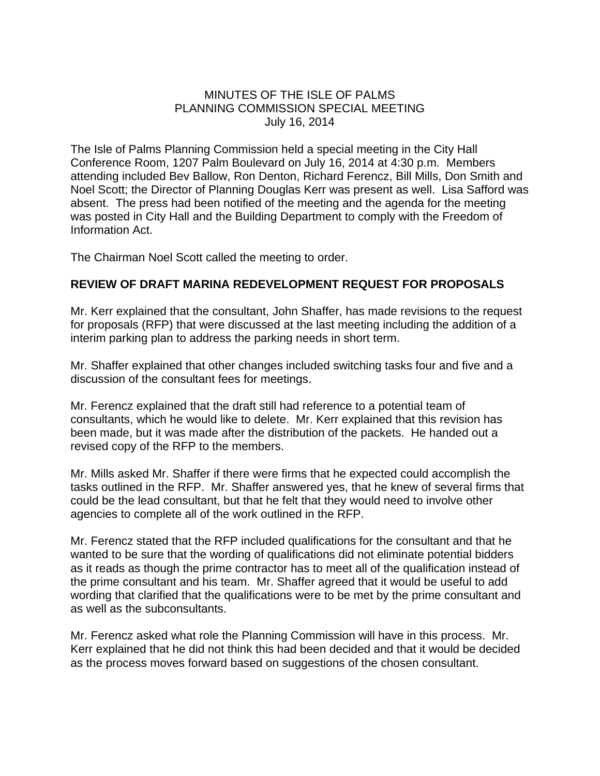## MINUTES OF THE ISLE OF PALMS PLANNING COMMISSION SPECIAL MEETING July 16, 2014

The Isle of Palms Planning Commission held a special meeting in the City Hall Conference Room, 1207 Palm Boulevard on July 16, 2014 at 4:30 p.m. Members attending included Bev Ballow, Ron Denton, Richard Ferencz, Bill Mills, Don Smith and Noel Scott; the Director of Planning Douglas Kerr was present as well. Lisa Safford was absent. The press had been notified of the meeting and the agenda for the meeting was posted in City Hall and the Building Department to comply with the Freedom of Information Act.

The Chairman Noel Scott called the meeting to order.

## **REVIEW OF DRAFT MARINA REDEVELOPMENT REQUEST FOR PROPOSALS**

Mr. Kerr explained that the consultant, John Shaffer, has made revisions to the request for proposals (RFP) that were discussed at the last meeting including the addition of a interim parking plan to address the parking needs in short term.

Mr. Shaffer explained that other changes included switching tasks four and five and a discussion of the consultant fees for meetings.

Mr. Ferencz explained that the draft still had reference to a potential team of consultants, which he would like to delete. Mr. Kerr explained that this revision has been made, but it was made after the distribution of the packets. He handed out a revised copy of the RFP to the members.

Mr. Mills asked Mr. Shaffer if there were firms that he expected could accomplish the tasks outlined in the RFP. Mr. Shaffer answered yes, that he knew of several firms that could be the lead consultant, but that he felt that they would need to involve other agencies to complete all of the work outlined in the RFP.

Mr. Ferencz stated that the RFP included qualifications for the consultant and that he wanted to be sure that the wording of qualifications did not eliminate potential bidders as it reads as though the prime contractor has to meet all of the qualification instead of the prime consultant and his team. Mr. Shaffer agreed that it would be useful to add wording that clarified that the qualifications were to be met by the prime consultant and as well as the subconsultants.

Mr. Ferencz asked what role the Planning Commission will have in this process. Mr. Kerr explained that he did not think this had been decided and that it would be decided as the process moves forward based on suggestions of the chosen consultant.